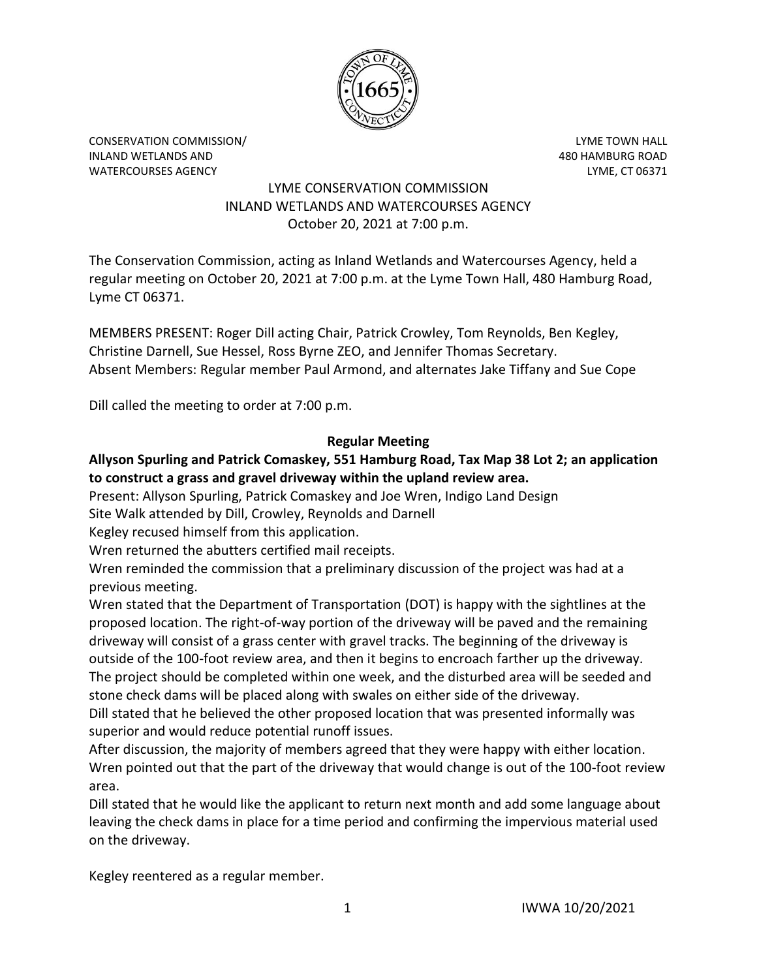

CONSERVATION COMMISSION/ LYME TOWN HALL INLAND WETLANDS AND 480 HAMBURG ROAD WATERCOURSES AGENCY **Example 20 and 20 and 20 and 20 and 20 and 20 and 20 and 20 and 20 and 20 and 20 and 20 and 20 and 20 and 20 and 20 and 20 and 20 and 20 and 20 and 20 and 20 and 20 and 20 and 20 and 20 and 20 and 20 a** 

## LYME CONSERVATION COMMISSION INLAND WETLANDS AND WATERCOURSES AGENCY October 20, 2021 at 7:00 p.m.

The Conservation Commission, acting as Inland Wetlands and Watercourses Agency, held a regular meeting on October 20, 2021 at 7:00 p.m. at the Lyme Town Hall, 480 Hamburg Road, Lyme CT 06371.

MEMBERS PRESENT: Roger Dill acting Chair, Patrick Crowley, Tom Reynolds, Ben Kegley, Christine Darnell, Sue Hessel, Ross Byrne ZEO, and Jennifer Thomas Secretary. Absent Members: Regular member Paul Armond, and alternates Jake Tiffany and Sue Cope

Dill called the meeting to order at 7:00 p.m.

## **Regular Meeting**

# **Allyson Spurling and Patrick Comaskey, 551 Hamburg Road, Tax Map 38 Lot 2; an application to construct a grass and gravel driveway within the upland review area.**

Present: Allyson Spurling, Patrick Comaskey and Joe Wren, Indigo Land Design

Site Walk attended by Dill, Crowley, Reynolds and Darnell

Kegley recused himself from this application.

Wren returned the abutters certified mail receipts.

Wren reminded the commission that a preliminary discussion of the project was had at a previous meeting.

Wren stated that the Department of Transportation (DOT) is happy with the sightlines at the proposed location. The right-of-way portion of the driveway will be paved and the remaining driveway will consist of a grass center with gravel tracks. The beginning of the driveway is outside of the 100-foot review area, and then it begins to encroach farther up the driveway. The project should be completed within one week, and the disturbed area will be seeded and stone check dams will be placed along with swales on either side of the driveway.

Dill stated that he believed the other proposed location that was presented informally was superior and would reduce potential runoff issues.

After discussion, the majority of members agreed that they were happy with either location. Wren pointed out that the part of the driveway that would change is out of the 100-foot review area.

Dill stated that he would like the applicant to return next month and add some language about leaving the check dams in place for a time period and confirming the impervious material used on the driveway.

Kegley reentered as a regular member.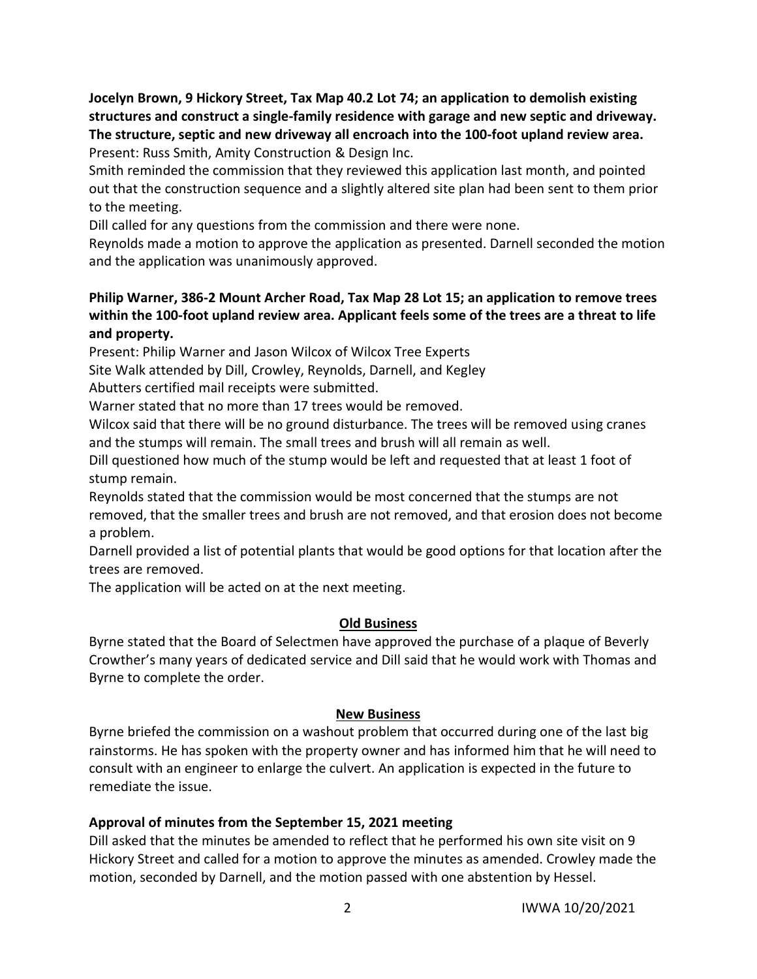**Jocelyn Brown, 9 Hickory Street, Tax Map 40.2 Lot 74; an application to demolish existing structures and construct a single-family residence with garage and new septic and driveway. The structure, septic and new driveway all encroach into the 100-foot upland review area.** Present: Russ Smith, Amity Construction & Design Inc.

Smith reminded the commission that they reviewed this application last month, and pointed out that the construction sequence and a slightly altered site plan had been sent to them prior to the meeting.

Dill called for any questions from the commission and there were none.

Reynolds made a motion to approve the application as presented. Darnell seconded the motion and the application was unanimously approved.

## **Philip Warner, 386-2 Mount Archer Road, Tax Map 28 Lot 15; an application to remove trees within the 100-foot upland review area. Applicant feels some of the trees are a threat to life and property.**

Present: Philip Warner and Jason Wilcox of Wilcox Tree Experts

Site Walk attended by Dill, Crowley, Reynolds, Darnell, and Kegley

Abutters certified mail receipts were submitted.

Warner stated that no more than 17 trees would be removed.

Wilcox said that there will be no ground disturbance. The trees will be removed using cranes and the stumps will remain. The small trees and brush will all remain as well.

Dill questioned how much of the stump would be left and requested that at least 1 foot of stump remain.

Reynolds stated that the commission would be most concerned that the stumps are not removed, that the smaller trees and brush are not removed, and that erosion does not become a problem.

Darnell provided a list of potential plants that would be good options for that location after the trees are removed.

The application will be acted on at the next meeting.

### **Old Business**

Byrne stated that the Board of Selectmen have approved the purchase of a plaque of Beverly Crowther's many years of dedicated service and Dill said that he would work with Thomas and Byrne to complete the order.

# **New Business**

Byrne briefed the commission on a washout problem that occurred during one of the last big rainstorms. He has spoken with the property owner and has informed him that he will need to consult with an engineer to enlarge the culvert. An application is expected in the future to remediate the issue.

# **Approval of minutes from the September 15, 2021 meeting**

Dill asked that the minutes be amended to reflect that he performed his own site visit on 9 Hickory Street and called for a motion to approve the minutes as amended. Crowley made the motion, seconded by Darnell, and the motion passed with one abstention by Hessel.